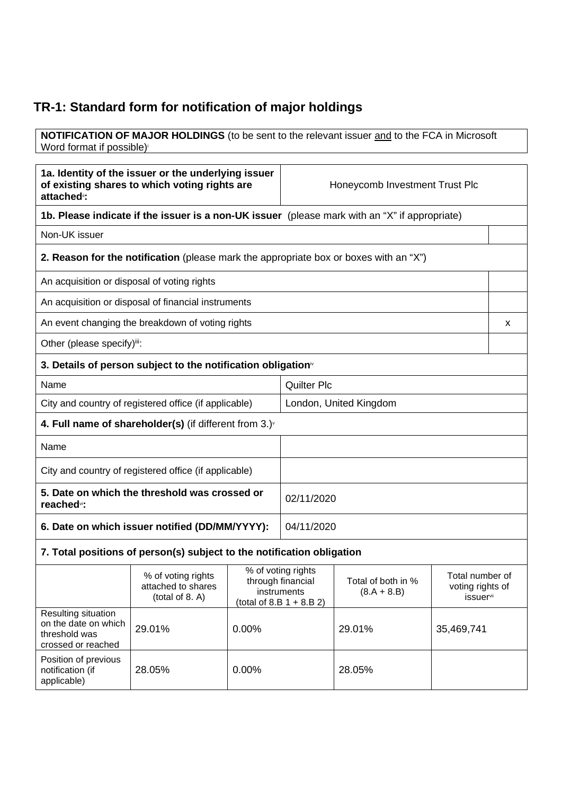## **TR-1: Standard form for notification of major holdings**

**NOTIFICATION OF MAJOR HOLDINGS** (to be sent to the relevant issuer and to the FCA in Microsoft Word format if possible)<sup>i</sup>

| 1a. Identity of the issuer or the underlying issuer<br>of existing shares to which voting rights are<br>attached <sup>®</sup> : |                    | Honeycomb Investment Trust Plc |                 |
|---------------------------------------------------------------------------------------------------------------------------------|--------------------|--------------------------------|-----------------|
| 1b. Please indicate if the issuer is a non-UK issuer (please mark with an "X" if appropriate)                                   |                    |                                |                 |
| Non-UK issuer                                                                                                                   |                    |                                |                 |
| 2. Reason for the notification (please mark the appropriate box or boxes with an "X")                                           |                    |                                |                 |
| An acquisition or disposal of voting rights                                                                                     |                    |                                |                 |
| An acquisition or disposal of financial instruments                                                                             |                    |                                |                 |
| An event changing the breakdown of voting rights                                                                                |                    |                                | x               |
| Other (please specify)iii:                                                                                                      |                    |                                |                 |
| 3. Details of person subject to the notification obligation <sup>®</sup>                                                        |                    |                                |                 |
| Name                                                                                                                            | <b>Quilter Plc</b> |                                |                 |
| City and country of registered office (if applicable)                                                                           |                    | London, United Kingdom         |                 |
| 4. Full name of shareholder(s) (if different from $3.$ ) $\sqrt{ }$                                                             |                    |                                |                 |
| Name                                                                                                                            |                    |                                |                 |
| City and country of registered office (if applicable)                                                                           |                    |                                |                 |
| 5. Date on which the threshold was crossed or<br>reached <sup>vi</sup> :                                                        | 02/11/2020         |                                |                 |
| 6. Date on which issuer notified (DD/MM/YYYY):<br>04/11/2020                                                                    |                    |                                |                 |
| 7. Total positions of person(s) subject to the notification obligation                                                          |                    |                                |                 |
| % of voting rights                                                                                                              | % of voting rights |                                | Total number of |

|                                                                                    | % of voting rights<br>attached to shares<br>(total of 8. A) | % of voting rights<br>through financial<br>instruments<br>(total of 8.B $1 + 8.B 2$ ) | Total of both in %<br>$(8.A + 8.B)$ | Total number of<br>voting rights of<br><i>issuer</i> <sup>vii</sup> |
|------------------------------------------------------------------------------------|-------------------------------------------------------------|---------------------------------------------------------------------------------------|-------------------------------------|---------------------------------------------------------------------|
| Resulting situation<br>on the date on which<br>threshold was<br>crossed or reached | 29.01%                                                      | $0.00\%$                                                                              | 29.01%                              | 35,469,741                                                          |
| Position of previous<br>notification (if<br>applicable)                            | 28.05%                                                      | $0.00\%$                                                                              | 28.05%                              |                                                                     |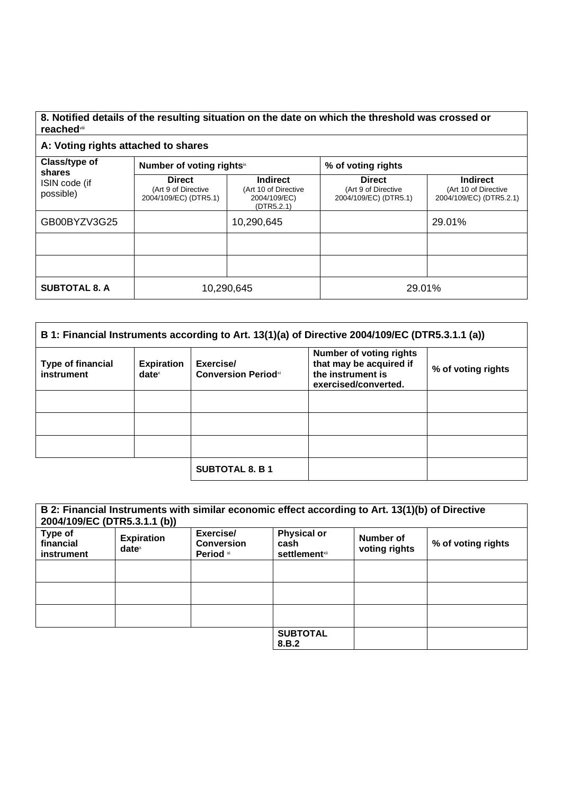## **8. Notified details of the resulting situation on the date on which the threshold was crossed or reached**viii

## **A: Voting rights attached to shares**

| Class/type of<br>shares    | Number of voting rights <sup>ix</sup>                         |                                                                       | % of voting rights                                            |                                                                    |
|----------------------------|---------------------------------------------------------------|-----------------------------------------------------------------------|---------------------------------------------------------------|--------------------------------------------------------------------|
| ISIN code (if<br>possible) | <b>Direct</b><br>(Art 9 of Directive<br>2004/109/EC) (DTR5.1) | <b>Indirect</b><br>(Art 10 of Directive<br>2004/109/EC)<br>(DTR5.2.1) | <b>Direct</b><br>(Art 9 of Directive<br>2004/109/EC) (DTR5.1) | <b>Indirect</b><br>(Art 10 of Directive<br>2004/109/EC) (DTR5.2.1) |
| GB00BYZV3G25               |                                                               | 10,290,645                                                            |                                                               | 29.01%                                                             |
|                            |                                                               |                                                                       |                                                               |                                                                    |
|                            |                                                               |                                                                       |                                                               |                                                                    |
| <b>SUBTOTAL 8. A</b>       | 10,290,645                                                    |                                                                       | 29.01%                                                        |                                                                    |

| B 1: Financial Instruments according to Art. 13(1)(a) of Directive 2004/109/EC (DTR5.3.1.1 (a)) |                                      |                                         |                                                                                                        |                    |
|-------------------------------------------------------------------------------------------------|--------------------------------------|-----------------------------------------|--------------------------------------------------------------------------------------------------------|--------------------|
| <b>Type of financial</b><br>instrument                                                          | <b>Expiration</b><br>$date^{\times}$ | Exercise/<br><b>Conversion Periodxi</b> | <b>Number of voting rights</b><br>that may be acquired if<br>the instrument is<br>exercised/converted. | % of voting rights |
|                                                                                                 |                                      |                                         |                                                                                                        |                    |
|                                                                                                 |                                      |                                         |                                                                                                        |                    |
|                                                                                                 |                                      |                                         |                                                                                                        |                    |
|                                                                                                 |                                      | <b>SUBTOTAL 8. B 1</b>                  |                                                                                                        |                    |

| 2004/109/EC (DTR5.3.1.1 (b))       |                               |                                             | B 2: Financial Instruments with similar economic effect according to Art. 13(1)(b) of Directive |                            |                    |
|------------------------------------|-------------------------------|---------------------------------------------|-------------------------------------------------------------------------------------------------|----------------------------|--------------------|
| Type of<br>financial<br>instrument | <b>Expiration</b><br>$date^x$ | Exercise/<br><b>Conversion</b><br>Period xi | <b>Physical or</b><br>cash<br><b>settlement</b> xii                                             | Number of<br>voting rights | % of voting rights |
|                                    |                               |                                             |                                                                                                 |                            |                    |
|                                    |                               |                                             |                                                                                                 |                            |                    |
|                                    |                               |                                             |                                                                                                 |                            |                    |
|                                    |                               |                                             | <b>SUBTOTAL</b><br>8.B.2                                                                        |                            |                    |